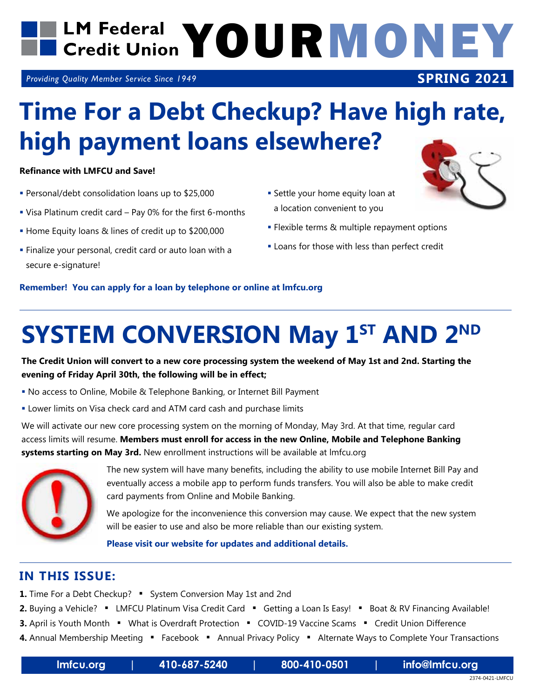## LM Federal YOURMONEY

*Providing Quality Member Service Since 1949*

## **Time For a Debt Checkup? Have high rate, high payment loans elsewhere?**

#### **Refinance with LMFCU and Save!**

- Personal/debt consolidation loans up to \$25,000
- Visa Platinum credit card Pay 0% for the first 6-months
- Home Equity loans & lines of credit up to \$200,000
- Finalize your personal, credit card or auto loan with a secure e-signature!
- **Settle your home equity loan at** a location convenient to you
- **Flexible terms & multiple repayment options**
- **Loans for those with less than perfect credit**

#### **Remember! You can apply for a loan by telephone or online at lmfcu.org**

## **SYSTEM CONVERSION May 1ST AND 2ND**

**The Credit Union will convert to a new core processing system the weekend of May 1st and 2nd. Starting the evening of Friday April 30th, the following will be in effect;**

- No access to Online, Mobile & Telephone Banking, or Internet Bill Payment
- Lower limits on Visa check card and ATM card cash and purchase limits

We will activate our new core processing system on the morning of Monday, May 3rd. At that time, regular card access limits will resume. **Members must enroll for access in the new Online, Mobile and Telephone Banking systems starting on May 3rd.** New enrollment instructions will be available at lmfcu.org



 The new system will have many benefits, including the ability to use mobile Internet Bill Pay and eventually access a mobile app to perform funds transfers. You will also be able to make credit card payments from Online and Mobile Banking.

 We apologize for the inconvenience this conversion may cause. We expect that the new system will be easier to use and also be more reliable than our existing system.

**Please visit our website for updates and additional details.**

#### **IN THIS ISSUE:**

- **1.** Time For a Debt Checkup? " System Conversion May 1st and 2nd
- 2. Buying a Vehicle? LMFCU Platinum Visa Credit Card Getting a Loan Is Easy! Boat & RV Financing Available!
- **3.** April is Youth Month " What is Overdraft Protection " COVID-19 Vaccine Scams " Credit Union Difference
- 4. Annual Membership Meeting **•** Facebook **•** Annual Privacy Policy Alternate Ways to Complete Your Transactions



**SPRING 2021**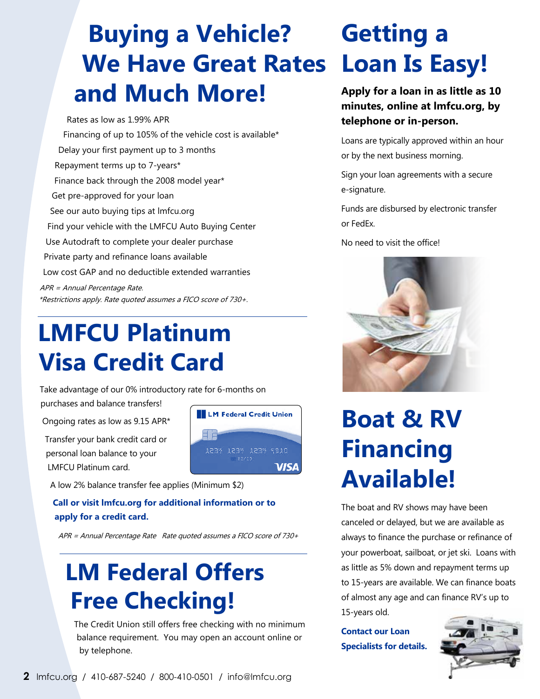#### **Loan Is Easy! We Have Great Rates Buying a Vehicle? and Much More!**

Rates as low as 1.99% APR Financing of up to 105% of the vehicle cost is available\* Delay your first payment up to 3 months Repayment terms up to 7-years\* Finance back through the 2008 model year\* Get pre-approved for your loan See our auto buying tips at lmfcu.org Find your vehicle with the LMFCU Auto Buying Center Use Autodraft to complete your dealer purchase Private party and refinance loans available Low cost GAP and no deductible extended warranties APR = Annual Percentage Rate. \*Restrictions apply. Rate quoted assumes a FICO score of 730+.

#### **LMFCU Platinum Visa Credit Card**

Take advantage of our 0% introductory rate for 6-months on purchases and balance transfers!

Ongoing rates as low as 9.15 APR\*

Transfer your bank credit card or personal loan balance to your LMFCU Platinum card.



A low 2% balance transfer fee applies (Minimum \$2)

**Call or visit lmfcu.org for additional information or to apply for a credit card.**

APR = Annual Percentage Rate Rate quoted assumes a FICO score of 730+

#### **LM Federal Offers Free Checking!**

The Credit Union still offers free checking with no minimum balance requirement. You may open an account online or by telephone.

# **Getting a**

**Apply for a loan in as little as 10 minutes, online at lmfcu.org, by telephone or in-person.**

Loans are typically approved within an hour or by the next business morning.

Sign your loan agreements with a secure e-signature.

Funds are disbursed by electronic transfer or FedEx.

No need to visit the office!



## **Boat & RV Financing Available!**

The boat and RV shows may have been canceled or delayed, but we are available as always to finance the purchase or refinance of your powerboat, sailboat, or jet ski. Loans with as little as 5% down and repayment terms up to 15-years are available. We can finance boats of almost any age and can finance RV's up to 15-years old.

**Contact our Loan Specialists for details.**

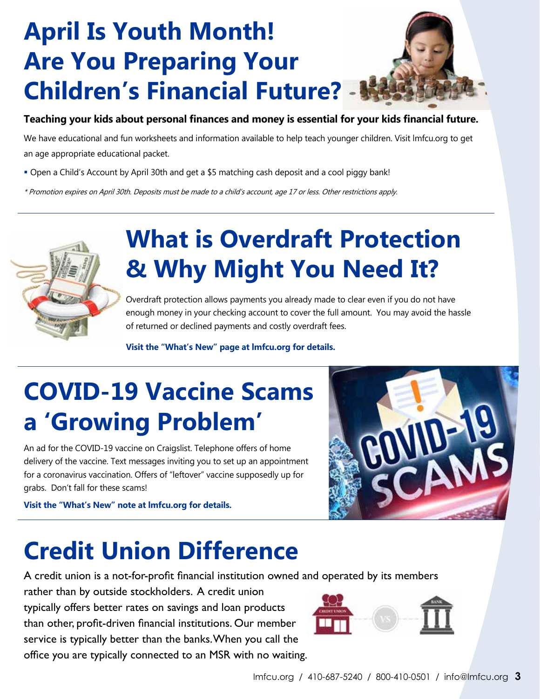## **April Is Youth Month! Are You Preparing Your Children's Financial Future?**

#### **Teaching your kids about personal finances and money is essential for your kids financial future.**

We have educational and fun worksheets and information available to help teach younger children. Visit lmfcu.org to get an age appropriate educational packet.

Open a Child's Account by April 30th and get a \$5 matching cash deposit and a cool piggy bank!

\* Promotion expires on April 30th. Deposits must be made to a child's account, age 17 or less. Other restrictions apply.



## **What is Overdraft Protection & Why Might You Need It?**

Overdraft protection allows payments you already made to clear even if you do not have enough money in your checking account to cover the full amount. You may avoid the hassle of returned or declined payments and costly overdraft fees.

 **Visit the "What's New" page at lmfcu.org for details.**

## **COVID-19 Vaccine Scams a 'Growing Problem'**

An ad for the COVID-19 vaccine on Craigslist. Telephone offers of home delivery of the vaccine. Text messages inviting you to set up an appointment for a coronavirus vaccination. Offers of "leftover" vaccine supposedly up for grabs. Don't fall for these scams!

**Visit the "What's New" note at lmfcu.org for details.**



#### **Credit Union Difference**

A credit union is a not-for-profit financial institution owned and operated by its members

rather than by outside stockholders. A credit union typically offers better rates on savings and loan products than other, profit-driven financial institutions. Our member service is typically better than the banks. When you call the office you are typically connected to an MSR with no waiting.